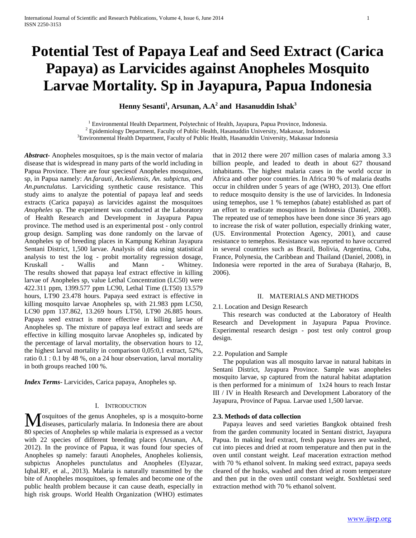# **Potential Test of Papaya Leaf and Seed Extract (Carica Papaya) as Larvicides against Anopheles Mosquito Larvae Mortality. Sp in Jayapura, Papua Indonesia**

**Henny Sesanti<sup>1</sup> , Arsunan, A.A<sup>2</sup> and Hasanuddin Ishak<sup>3</sup>**

<sup>1</sup> Environmental Health Department, Polytechnic of Health, Jayapura, Papua Province, Indonesia.  $2$  Epidemiology Department, Faculty of Public Health, Hasanuddin University, Makassar, Indonesia <sup>3</sup>Environmental Health Department, Faculty of Public Health, Hasanuddin University, Makassar Indonesia

*Abstract***-** Anopheles mosquitoes, sp is the main vector of malaria disease that is widespread in many parts of the world including in Papua Province. There are four speciesof Anopheles mosquitoes, sp, in Papua namely: *An.farauti, An.koliensis, An. subpictus, and An.punctulatus*. Larviciding synthetic cause resistance. This study aims to analyze the potential of papaya leaf and seeds extracts (Carica papaya) as larvicides against the mosquitoes *Anopheles* sp. The experiment was conducted at the Laboratory of Health Research and Development in Jayapura Papua province. The method used is an experimental post - only control group design. Sampling was done randomly on the larvae of Anopheles sp of breeding places in Kampung Kehiran Jayapura Sentani District, 1,500 larvae. Analysis of data using statistical analysis to test the log - probit mortality regression dosage, Kruskall - Wallis and Mann - Whitney. The results showed that papaya leaf extract effective in killing larvae of Anopheles sp, value Lethal Concentration (LC50) were 422.311 ppm, 1399.577 ppm LC90, Lethal Time (LT50) 13.579 hours, LT90 23.478 hours. Papaya seed extract is effective in killing mosquito larvae Anopheles sp, with 21.983 ppm LC50, LC90 ppm 137.862, 13.269 hours LT50, LT90 26.885 hours. Papaya seed extract is more effective in killing larvae of Anopheles sp. The mixture of papaya leaf extract and seeds are effective in killing mosquito larvae Anopheles sp, indicated by the percentage of larval mortality, the observation hours to 12, the highest larval mortality in comparison 0,05:0,1 extract, 52%, ratio 0.1 : 0.1 by 48 %, on a 24 hour observation, larval mortality in both groups reached 100 %.

*Index Terms*- Larvicides, Carica papaya, Anopheles sp.

## I. INTRODUCTION

osquitoes of the genus Anopheles, sp is a mosquito-borne Mosquitoes of the genus Anopheles, sp is a mosquito-borne<br>diseases, particularly malaria. In Indonesia there are about 80 species of Anopheles sp while malaria is expressed as a vector with 22 species of different breeding places (Arsunan, AA, 2012). In the province of Papua, it was found four species of Anopheles sp namely: farauti Anopheles, Anopheles koliensis, subpictus Anopheles punctulatus and Anopheles (Elyazar, Iqbal.RF, et al., 2013). Malaria is naturally transmitted by the bite of Anopheles mosquitoes, sp females and become one of the public health problem because it can cause death, especially in high risk groups. World Health Organization (WHO) estimates

that in 2012 there were 207 million cases of malaria among 3.3 billion people, and leaded to death in about 627 thousand inhabitants. The highest malaria cases in the world occur in Africa and other poor countries. In Africa 90 % of malaria deaths occur in children under 5 years of age (WHO, 2013). One effort to reduce mosquito density is the use of larvicides. In Indonesia using temephos, use 1 % temephos (abate) established as part of an effort to eradicate mosquitoes in Indonesia (Daniel, 2008). The repeated use of temephos have been done since 36 years ago to increase the risk of water pollution, especially drinking water, (US. Environmental Protection Agency, 2001), and cause resistance to temephos. Resistance was reported to have occurred in several countries such as Brazil, Bolivia, Argentina, Cuba, France, Polynesia, the Caribbean and Thailand (Daniel, 2008), in Indonesia were reported in the area of Surabaya (Raharjo, B, 2006).

## II. MATERIALS AND METHODS

## 2.1. Location and Design Research

 This research was conducted at the Laboratory of Health Research and Development in Jayapura Papua Province. Experimental research design - post test only control group design.

## 2.2. Population and Sample

 The population was all mosquito larvae in natural habitats in Sentani District, Jayapura Province. Sample was anopheles mosquito larvae, sp captured from the natural habitat adaptation is then performed for a minimum of 1x24 hours to reach Instar III / IV in Health Research and Development Laboratory of the Jayapura, Province of Papua. Larvae used 1,500 larvae.

## **2.3. Methods of data collection**

 Papaya leaves and seed varieties Bangkok obtained fresh from the garden community located in Sentani district, Jayapura Papua. In making leaf extract, fresh papaya leaves are washed, cut into pieces and dried at room temperature and then put in the oven until constant weight. Leaf maceration extraction method with 70 % ethanol solvent. In making seed extract, papaya seeds cleared of the husks, washed and then dried at room temperature and then put in the oven until constant weight. Soxhletasi seed extraction method with 70 % ethanol solvent.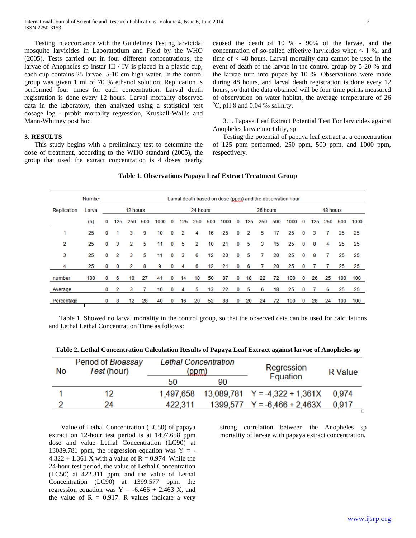Testing in accordance with the Guidelines Testing larvicidal mosquito larvicides in Laboratotium and Field by the WHO (2005). Tests carried out in four different concentrations, the larvae of Anopheles sp instar III / IV is placed in a plastic cup, each cup contains 25 larvae, 5-10 cm high water. In the control group was given 1 ml of 70 % ethanol solution. Replication is performed four times for each concentration. Larval death registration is done every 12 hours. Larval mortality observed data in the laboratory, then analyzed using a statistical test dosage log - probit mortality regression, Kruskall-Wallis and Mann-Whitney post hoc.

## **3. RESULTS**

 This study begins with a preliminary test to determine the dose of treatment, according to the WHO standard (2005), the group that used the extract concentration is 4 doses nearby caused the death of 10 % - 90% of the larvae, and the concentration of so-called effective larvicides when  $\leq 1$  %, and time of < 48 hours. Larval mortality data cannot be used in the event of death of the larvae in the control group by 5-20 % and the larvae turn into pupae by 10 %. Observations were made during 48 hours, and larval death registration is done every 12 hours, so that the data obtained will be four time points measured of observation on water habitat, the average temperature of 26  $\rm{^{\circ}C}$ , pH 8 and 0.04 ‰ salinity.

 3.1. Papaya Leaf Extract Potential Test For larvicides against Anopheles larvae mortality, sp

 Testing the potential of papaya leaf extract at a concentration of 125 ppm performed, 250 ppm, 500 ppm, and 1000 ppm, respectively.

## **Table 1. Observations Papaya Leaf Extract Treatment Group**

|             | Number |   |     |          |     |      |   |     |          |     | Larval death based on dose (ppm) and the observation hour |   |     |          |     |      |   |     |          |     |      |
|-------------|--------|---|-----|----------|-----|------|---|-----|----------|-----|-----------------------------------------------------------|---|-----|----------|-----|------|---|-----|----------|-----|------|
| Replication | Larva  |   |     | 12 hours |     |      |   |     | 24 hours |     |                                                           |   |     | 36 hours |     |      |   |     | 48 hours |     |      |
|             | (n)    | 0 | 125 | 250      | 500 | 1000 | 0 | 125 | 250      | 500 | 1000                                                      | 0 | 125 | 250      | 500 | 1000 | 0 | 125 | 250      | 500 | 1000 |
| 1           | 25     | 0 |     | 3        | 9   | 10   | 0 | 2   | 4        | 16  | 25                                                        | 0 | 2   | 5        | 17  | 25   | 0 | з   |          | 25  | 25   |
| 2           | 25     | 0 | 3   | 2        | 5   | 11   | 0 | 5   | 2        | 10  | 21                                                        | 0 | 5   | 3        | 15  | 25   | 0 | 8   | 4        | 25  | 25   |
| 3           | 25     | 0 | 2   | 3        | 5   | 11   | 0 | 3   | 6        | 12  | 20                                                        | 0 | 5   | 7        | 20  | 25   | 0 | 8   |          | 25  | 25   |
| 4           | 25     | 0 | 0   | 2        | 8   | 9    | 0 | 4   | 6        | 12  | 21                                                        | 0 | 6   |          | 20  | 25   | 0 |     |          | 25  | 25   |
| number      | 100    | 0 | 6   | 10       | 27  | 41   | 0 | 14  | 18       | 50  | 87                                                        | 0 | 18  | 22       | 72  | 100  | 0 | 26  | 25       | 100 | 100  |
| Average     |        | 0 | 2   | з        |     | 10   | 0 | 4   | 5        | 13  | 22                                                        | 0 | 5   | 6        | 18  | 25   | 0 |     | 6        | 25  | 25   |
| Percentage  |        | 0 | 8   | 12       | 28  | 40   | 0 | 16  | 20       | 52  | 88                                                        | 0 | 20  | 24       | 72  | 100  | 0 | 28  | 24       | 100 | 100  |

 Table 1. Showed no larval mortality in the control group, so that the observed data can be used for calculations and Lethal Lethal Concentration Time as follows:

| Period of Bioassay<br><b>Lethal Concentration</b><br>Regression |    |             |       |                |
|-----------------------------------------------------------------|----|-------------|-------|----------------|
|                                                                 |    |             |       |                |
|                                                                 |    |             |       |                |
|                                                                 | No | Test (hour) | (ppm) | <b>R</b> Value |

**Table 2. Lethal Concentration Calculation Results of Papaya Leaf Extract against larvae of Anopheles sp**

| No | $\sim$<br>Test (hour) | Lvunu vviivviiuuuvii<br>(ppm) |    | Regression                                       | <b>R</b> Value |
|----|-----------------------|-------------------------------|----|--------------------------------------------------|----------------|
|    |                       | 50                            | 90 | Equation                                         |                |
|    | 12                    |                               |    | $1,497,658$ 13,089,781 Y = -4,322 + 1,361X 0,974 |                |
|    | 2Δ                    | 422.311                       |    | 1300 577 $V = 6$ 466 + 2 463X                    | በ 017          |

 Value of Lethal Concentration (LC50) of papaya extract on 12-hour test period is at 1497.658 ppm dose and value Lethal Concentration (LC90) at 13089.781 ppm, the regression equation was  $Y = 4.322 + 1.361$  X with a value of R = 0.974. While the 24-hour test period, the value of Lethal Concentration (LC50) at 422.311 ppm, and the value of Lethal Concentration (LC90) at 1399.577 ppm, the regression equation was  $Y = -6.466 + 2.463$  X, and the value of  $R = 0.917$ . R values indicate a very

strong correlation between the Anopheles sp mortality of larvae with papaya extract concentration.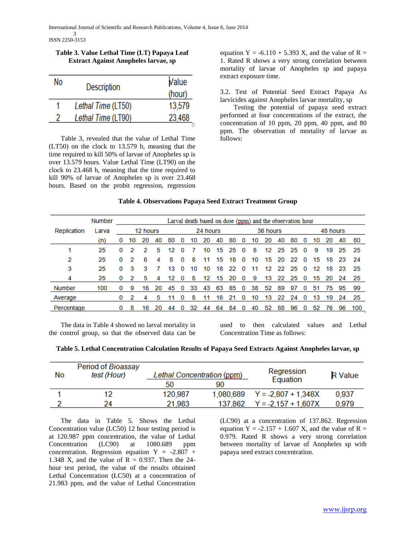| Table 3. Value Lethal Time (LT) Papaya Leaf |  |
|---------------------------------------------|--|
| <b>Extract Against Anopheles larvae, sp</b> |  |

| No | Description        | Value<br>(hour) |
|----|--------------------|-----------------|
|    | Lethal Time (LT50) | 13,579          |
| 2  | Lethal Time (LT90) | 23,468          |

 Table 3, revealed that the value of Lethal Time (LT50) on the clock to 13.579 h, meaning that the time required to kill 50% of larvae of Anopheles sp is over 13.579 hours. Value Lethal Time (LT90) on the clock to 23.468 h, meaning that the time required to kill 90% of larvae of Anopheles sp is over 23.468 hours. Based on the probit regression, regression

equation Y =  $-6.110 + 5.393$  X, and the value of R = 1. Rated R shows a very strong correlation between mortality of larvae of Anopheles sp and papaya extract exposure time.

3.2. Test of Potential Seed Extract Papaya As larvicides against Anopheles larvae mortality, sp

 Testing the potential of papaya seed extract performed at four concentrations of the extract, the concentration of 10 ppm, 20 ppm, 40 ppm, and 80 ppm. The observation of mortality of larvae as follows:

# **Table 4. Observations Papaya Seed Extract Treatment Group**

|               | <b>Number</b> |          |    |          |    |     |          |    |          |    |    |          | Larval death based on dose (ppm) and the observation hour |          |    |     |          |    |          |    |     |
|---------------|---------------|----------|----|----------|----|-----|----------|----|----------|----|----|----------|-----------------------------------------------------------|----------|----|-----|----------|----|----------|----|-----|
| Replication   | Larva         |          |    | 12 hours |    |     |          |    | 24 hours |    |    |          |                                                           | 36 hours |    |     |          |    | 48 hours |    |     |
|               | (n)           | 0        | 10 | 20       | 40 | -80 | $\bf{0}$ | 10 | 20       | 40 | 80 | $\Omega$ | 10                                                        | 20       | 40 | 80  | $\Omega$ | 10 | 20       | 40 | 80  |
|               | 25            | 0        | 2  | 2        | 5  | 12  | $\Omega$ |    | 10       | 15 | 25 | $\bf{0}$ | 8                                                         | 12       | 25 | -25 | $\bf{0}$ | 9  | 19       | 25 | -25 |
| 2             | 25            | 0        | 2  | 6        | Δ  | 8   | $\Omega$ | 8  |          | 15 | 18 | $\Omega$ | 10                                                        | 15       | 20 | 22  | $\Omega$ | 15 | 18       | 23 | -24 |
| 3             | 25            | 0        | 3  | 3        |    | 13  | $\Omega$ | 10 | 10       | 18 | 22 | $\Omega$ | 11                                                        | 12       | 22 | 25  | $\Omega$ | 12 | 18       | 23 | -25 |
| 4             | 25            | 0        | 2  | 5        | 4  | 12  | $\Omega$ | 8  | 12       | 15 | 20 | $\bf{0}$ | 9                                                         | 13       | 22 | 25  | $\bf{0}$ | 15 | 20       | 24 | -25 |
| <b>Number</b> | 100           | $\Omega$ | 9  | 16       | 20 | 45  | $\Omega$ | 33 | 43       | 63 | 85 | $\bf{0}$ | 38                                                        | 52       | 89 | 97  | 0        | 51 | 75       | 95 | 99  |
| Average       |               | 0        | 2  | 4        | 5  |     | 0        | 8  |          | 16 | 21 | 0        | 10                                                        | 13       | 22 | 24  | 0        | 13 | 19       | 24 | 25  |
| Percentage    |               |          | 8  | 16       | 20 | 44  | 0        | 32 | 44       | 64 | 84 |          | 40                                                        | 52       | 88 | 96  | 0        | 52 | 76       | 96 | 100 |

 The data in Table 4 showed no larval mortality in the control group, so that the observed data can be

used to then calculated values and Lethal Concentration Time as follows:

| Table 5. Lethal Concentration Calculation Results of Papaya Seed Extracts Against Anopheles larvae, sp |  |  |
|--------------------------------------------------------------------------------------------------------|--|--|
|                                                                                                        |  |  |

| No | Period of Bioassay<br>test (Hour) | Lethal Concentration (ppm) |           | Regression<br>Equation | <b>R</b> Value |
|----|-----------------------------------|----------------------------|-----------|------------------------|----------------|
|    |                                   | 50                         | 90        |                        |                |
|    | 12                                | 120,987                    | 1.080.689 | $Y = -2.807 + 1.348X$  | 0.937          |
|    | 24                                | 21,983                     | 137,862   | $Y = -2.157 + 1.607X$  | 0.979          |

 The data in Table 5. Shows the Lethal Concentration value (LC50) 12 hour testing period is at 120.987 ppm concentration, the value of Lethal Concentration (LC90) at 1080.689 ppm concentration. Regression equation  $Y = -2.807 +$ 1.348 X, and the value of  $R = 0.937$ . Then the 24hour test period, the value of the results obtained Lethal Concentration (LC50) at a concentration of 21.983 ppm, and the value of Lethal Concentration (LC90) at a concentration of 137.862. Regression equation Y =  $-2.157 + 1.607$  X, and the value of R = 0.979. Rated R shows a very strong correlation between mortality of larvae of Anopheles sp with papaya seed extract concentration.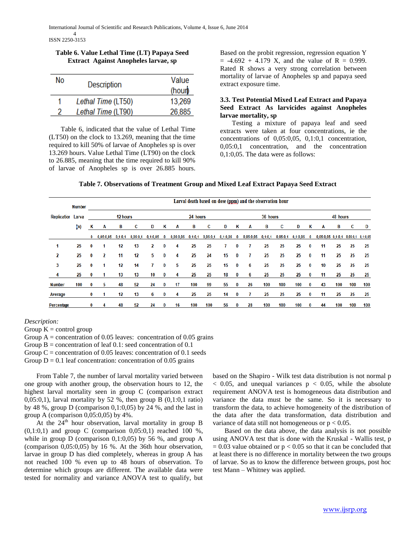ISSN 2250-3153

**Table 6. Value Lethal Time (LT) Papaya Seed Extract Against Anopheles larvae, sp**

| No | Description        | Value<br>(hour) |
|----|--------------------|-----------------|
|    | Lethal Time (LT50) | 13,269          |
| 2  | Lethal Time (LT90) | 26,885          |

 Table 6, indicated that the value of Lethal Time (LT50) on the clock to 13.269, meaning that the time required to kill 50% of larvae of Anopheles sp is over 13.269 hours. Value Lethal Time (LT90) on the clock to 26.885, meaning that the time required to kill 90% of larvae of Anopheles sp is over 26.885 hours. Based on the probit regression, regression equation Y  $= -4.692 + 4.179$  X, and the value of R = 0.999. Rated R shows a very strong correlation between mortality of larvae of Anopheles sp and papaya seed extract exposure time.

# **3.3. Test Potential Mixed Leaf Extract and Papaya Seed Extract As larvicides against Anopheles larvae mortality, sp**

 Testing a mixture of papaya leaf and seed extracts were taken at four concentrations, ie the concentrations of 0,05:0,05, 0,1:0,1 concentration, 0,05:0,1 concentration, and the concentration 0,1:0,05. The data were as follows:

| Table 7. Observations of Treatment Group and Mixed Leaf Extract Papaya Seed Extract |  |  |  |
|-------------------------------------------------------------------------------------|--|--|--|
|                                                                                     |  |  |  |

|                          | <b>Number</b> |              |           |           |          |            |          |           |           |          |            |          | Larval death based on dose (ppm) and the observation hour |           |          |            |          |                                     |          |     |     |
|--------------------------|---------------|--------------|-----------|-----------|----------|------------|----------|-----------|-----------|----------|------------|----------|-----------------------------------------------------------|-----------|----------|------------|----------|-------------------------------------|----------|-----|-----|
| <b>Replicatior Larva</b> |               |              |           | 12 hours  |          |            |          |           | 24 hours  |          |            |          |                                                           | 36 hours  |          |            |          |                                     | 48 hours |     |     |
|                          | (n)           | Κ            | A         | в         | c        | D          | κ        | A         | В         | c        | D          | Κ        | A                                                         | в         | c        | D          | Κ        | A                                   | в        | c   | D   |
|                          |               | $\mathbf 0$  | 0,05:0,05 | 0, 1:0, 1 | 0,05:0,1 | 0, 1:0, 05 | 0        | 0,05:0,05 | 0, 1:0, 1 | 0,05:0,1 | 0, 1:0, 05 | 0        | 0,05:0,05                                                 | 0, 1:0, 1 | 0,05:0,1 | 0, 1:0, 05 | $\bf{0}$ | 0,05:0,05 0,1:0,1 0,05:0,1 0,1:0,05 |          |     |     |
|                          | 25            | 0            | 1         | 12        | 13       | 2          | 0        | 4         | 25        | 25       |            | 0        | 7                                                         | 25        | 25       | 25         | 0        | 11                                  | 25       | 25  | 25  |
| 2                        | 25            | 0            | 2         | 11        | 12       | 5          | 0        | 4         | 25        | 24       | 15         | 0        |                                                           | 25        | 25       | 25         | 0        | 11                                  | 25       | 25  | 25  |
| 3                        | 25            | 0            |           | 12        | 14       |            | 0        | 5         | 25        | 25       | 15         | 0        | 6                                                         | 25        | 25       | 25         | 0        | 10                                  | 25       | 25  | 25  |
| 4                        | 25            | 0            |           | 13        | 13       | 10         | 0        | 4         | 25        | 25       | 18         | 0        | 6                                                         | 25        | 25       | 25         | 0        | 11                                  | 25       | 25  | 25  |
| <b>Number</b>            | 100           | 0            | 5         | 48        | 52       | 24         | $\bf{0}$ | 17        | 100       | 99       | 55         | $\bf{0}$ | 26                                                        | 100       | 100      | 100        | $\bf{0}$ | 43                                  | 100      | 100 | 100 |
| Average                  |               | 0            |           | 12        | 13       | 6          | 0        | 4         | 25        | 25       | 14         | 0        |                                                           | 25        | 25       | 25         | 0        | 11                                  | 25       | 25  | 25  |
| Percentage               |               | $\mathbf{0}$ | 4         | 48        | 52       | 24         | 0        | 16        | 100       | 100      | 56         | $\bf{0}$ | 28                                                        | 100       | 100      | 100        | $\bf{0}$ | 44                                  | 100      | 100 | 100 |

## *Description:*

Group  $K =$  control group

Group  $A =$  concentration of 0.05 leaves: concentration of 0.05 grains

Group  $B =$  concentration of leaf 0.1: seed concentration of 0.1

Group  $C =$  concentration of 0.05 leaves: concentration of 0.1 seeds

Group  $D = 0.1$  leaf concentration: concentration of 0.05 grains

 From Table 7, the number of larval mortality varied between one group with another group, the observation hours to 12, the highest larval mortality seen in group C (comparison extract 0,05:0,1), larval mortality by 52 %, then group B  $(0,1:0,1$  ratio) by 48 %, group D (comparison 0,1:0,05) by 24 %, and the last in group A (comparison  $0,05:0,05$ ) by  $4\%$ .

At the  $24^{\text{th}}$  hour observation, larval mortality in group B  $(0,1:0,1)$  and group C (comparison  $0,05:0,1$ ) reached 100 %, while in group  $D$  (comparison 0,1:0,05) by 56 %, and group  $A$ (comparison 0,05:0,05) by 16 %. At the 36th hour observation, larvae in group D has died completely, whereas in group A has not reached 100 % even up to 48 hours of observation. To determine which groups are different. The available data were tested for normality and variance ANOVA test to qualify, but based on the Shapiro - Wilk test data distribution is not normal p  $< 0.05$ , and unequal variances  $p < 0.05$ , while the absolute requirement ANOVA test is homogeneous data distribution and variance the data must be the same. So it is necessary to transform the data, to achieve homogeneity of the distribution of the data after the data transformation, data distribution and variance of data still not homogeneous or  $p < 0.05$ .

 Based on the data above, the data analysis is not possible using ANOVA test that is done with the Kruskal - Wallis test, p  $= 0.03$  value obtained or  $p < 0.05$  so that it can be concluded that at least there is no difference in mortality between the two groups of larvae. So as to know the difference between groups, post hoc test Mann – Whitney was applied.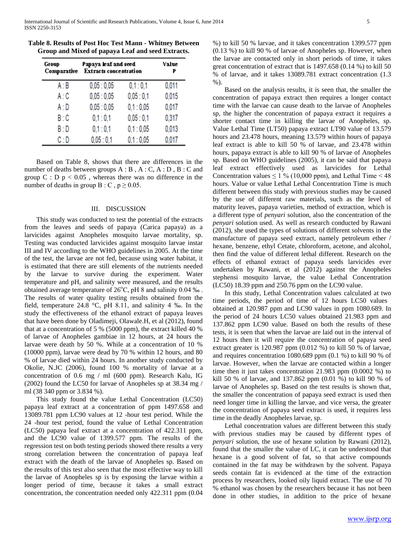| Group<br>Comparative | Papaya leaf and seed<br><b>Extracts concentration</b> | Value<br>P |       |  |
|----------------------|-------------------------------------------------------|------------|-------|--|
| A:B                  | 0,05:0,05                                             | 0,1:0,1    | 0,011 |  |
| A:C                  | 0.05:0.05                                             | 0,05:0,1   | 0.015 |  |
| A : D                | 0,05:0,05                                             | 0,1:0,05   | 0,017 |  |
| B: C                 | 0,1:0,1                                               | 0,05:0,1   | 0,317 |  |
| B: D                 | 0,1:0,1                                               | 0,1:0,05   | 0,013 |  |
| C:D                  | 0.05:0.1                                              | 0.1:0.05   | 0.017 |  |

**Table 8. Results of Post Hoc Test Mann - Whitney Between Group and Mixed of papaya Leaf and seed Extracts.**

 Based on Table 8, shows that there are differences in the number of deaths between groups A : B , A : C, A : D , B : C and group  $C : D$  p < 0.05, whereas there was no difference in the number of deaths in group B : C,  $p \ge 0.05$ .

## III. DISCUSSION

 This study was conducted to test the potential of the extracts from the leaves and seeds of papaya (Carica papaya) as a larvicides against Anopheles mosquito larvae mortality, sp. Testing was conducted larvicides against mosquito larvae instar III and IV according to the WHO guidelines in 2005. At the time of the test, the larvae are not fed, because using water habitat, it is estimated that there are still elements of the nutrients needed by the larvae to survive during the experiment. Water temperature and pH, and salinity were measured, and the results obtained average temperature of  $26^{\circ}$ C, pH 8 and salinity 0.04 ‰. The results of water quality testing results obtained from the field, temperature 24.8 °C, pH 8.11, and salinity 4 ‰. In the study the effectiveness of the ethanol extract of papaya leaves that have been done by Oladimeji, Olawale.H, et al (2012), found that at a concentration of 5 % (5000 ppm), the extract killed 40 % of larvae of Anopheles gambiae in 12 hours, at 24 hours the larvae were death by 50 %. While at a concentration of 10 % (10000 ppm), larvae were dead by 70 % within 12 hours, and 80 % of larvae died within 24 hours. In another study conducted by Okolie, N.JC (2006), found 100 % mortality of larvae at a concentration of 0.6 mg / ml (600 ppm). Research Kalu, IG (2002) found the LC50 for larvae of Anopheles sp at 38.34 mg / ml (38 340 ppm or 3.834 %).

 This study found the value Lethal Concentration (LC50) papaya leaf extract at a concentration of ppm 1497.658 and 13089.781 ppm LC90 values at 12 -hour test period. While the 24 -hour test period, found the value of Lethal Concentration (LC50) papaya leaf extract at a concentration of 422.311 ppm, and the LC90 value of 1399.577 ppm. The results of the regression test on both testing periods showed there results a very strong correlation between the concentration of papaya leaf extract with the death of the larvae of Anopheles sp. Based on the results of this test also seen that the most effective way to kill the larvae of Anopheles sp is by exposing the larvae within a longer period of time, because it takes a small extract concentration, the concentration needed only 422.311 ppm (0.04

%) to kill 50 % larvae, and it takes concentration 1399.577 ppm (0.13 %) to kill 90 % of larvae of Anopheles sp. However, when the larvae are contacted only in short periods of time, it takes great concentration of extract that is 1497.658 (0.14 %) to kill 50 % of larvae, and it takes 13089.781 extract concentration (1.3 %).

 Based on the analysis results, it is seen that, the smaller the concentration of papaya extract then requires a longer contact time with the larvae can cause death to the larvae of Anopheles sp, the higher the concentration of papaya extract it requires a shorter contact time in killing the larvae of Anopheles, sp. Value Lethal Time (LT50) papaya extract LT90 value of 13.579 hours and 23.478 hours, meaning 13.579 within hours of papaya leaf extract is able to kill 50 % of larvae, and 23.478 within hours, papaya extract is able to kill 90 % of larvae of Anopheles sp. Based on WHO guidelines (2005), it can be said that papaya leaf extract effectively used as larvicides for Lethal Concentration values  $\leq 1\%$  (10,000 ppm), and Lethal Time < 48 hours. Value or value Lethal Lethal Concentration Time is much different between this study with previous studies may be caused by the use of different raw materials, such as the level of maturity leaves, papaya varieties, method of extraction, which is a different type of *penyari* solution, also the concentration of the *penyari* solution used. As well as research conducted by Rawani (2012), she used the types of solutions of different solvents in the manufacture of papaya seed extract, namely petroleum ether / hexane, benzene, ethyl Cetate, chloroform, acetone, and alcohol, then find the value of different lethal different. Research on the effects of ethanol extract of papaya seeds larvicides ever undertaken by Rawani, et al (2012) against the Anopheles stephensi mosquito larvae, the value Lethal Concentration (LC50) 18.39 ppm and 250.76 ppm on the LC90 value.

 In this study, Lethal Concentration values calculated at two time periods, the period of time of 12 hours LC50 values obtained at 120.987 ppm and LC90 values in ppm 1080.689. In the period of 24 hours LC50 values obtained 21.983 ppm and 137.862 ppm LC90 value. Based on both the results of these tests, it is seen that when the larvae are laid out in the interval of 12 hours then it will require the concentration of papaya seed extract greater is 120.987 ppm (0.012 %) to kill 50 % of larvae, and requires concentration 1080.689 ppm (0.1 %) to kill 90 % of larvae. However, when the larvae are contacted within a longer time then it just takes concentration 21.983 ppm (0.0002 %) to kill 50 % of larvae, and 137.862 ppm (0.01 %) to kill 90 % of larvae of Anopheles sp. Based on the test results is shown that, the smaller the concentration of papaya seed extract is used then need longer time in killing the larvae, and vice versa, the greater the concentration of papaya seed extract is used, it requires less time in the deadly Anopheles larvae, sp.

 Lethal concentration values are different between this study with previous studies may be caused by different types of *penyari* solution, the use of hexane solution by Rawani (2012), found that the smaller the value of LC, it can be understood that hexane is a good solvent of fat, so that active compounds contained in the fat may be withdrawn by the solvent. Papaya seeds contain fat is evidenced at the time of the extraction process by researchers, looked oily liquid extract. The use of 70 % ethanol was chosen by the researchers because it has not been done in other studies, in addition to the price of hexane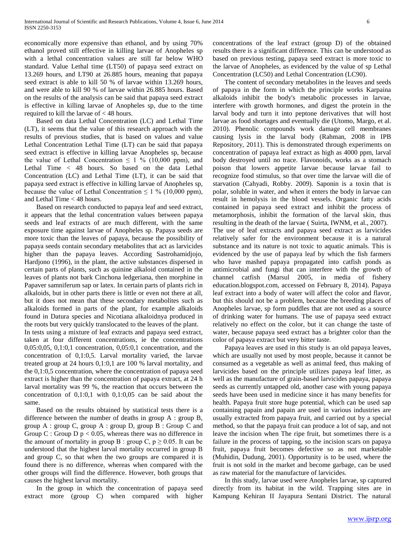economically more expensive than ethanol, and by using 70% ethanol proved still effective in killing larvae of Anopheles sp with a lethal concentration values are still far below WHO standard. Value Lethal time (LT50) of papaya seed extract on 13.269 hours, and LT90 at 26.885 hours, meaning that papaya seed extract is able to kill 50 % of larvae within 13.269 hours, and were able to kill 90 % of larvae within 26.885 hours. Based on the results of the analysis can be said that papaya seed extract is effective in killing larvae of Anopheles sp, due to the time required to kill the larvae of < 48 hours.

 Based on data Lethal Concentration (LC) and Lethal Time (LT), it seems that the value of this research approach with the results of previous studies, that is based on values and value Lethal Concentration Lethal Time (LT) can be said that papaya seed extract is effective in killing larvae Anopheles sp, because the value of Lethal Concentration  $\leq 1$  % (10,000 ppm), and Lethal Time < 48 hours. So based on the data Lethal Concentration (LC) and Lethal Time (LT), it can be said that papaya seed extract is effective in killing larvae of Anopheles sp, because the value of Lethal Concentration  $\leq 1\%$  (10,000 ppm), and Lethal Time < 48 hours.

 Based on research conducted to papaya leaf and seed extract, it appears that the lethal concentration values between papaya seeds and leaf extracts of are much different, with the same exposure time against larvae of Anopheles sp. Papaya seeds are more toxic than the leaves of papaya, because the possibility of papaya seeds contain secondary metabolites that act as larvicides higher than the papaya leaves. According Sastrohamidjojo, Hardjono (1996), in the plant, the active substances dispersed in certain parts of plants, such as quinine alkaloid contained in the leaves of plants not bark Cinchona ledgeriana, then morphine in Papaver samniferum sap or latex. In certain parts of plants rich in alkaloids, but in other parts there is little or even not there at all, but it does not mean that these secondary metabolites such as alkaloids formed in parts of the plant, for example alkaloids found in Datura species and Nicotiana alkaloidnya produced in the roots but very quickly translocated to the leaves of the plant.

In tests using a mixture of leaf extracts and papaya seed extract, taken at four different concentrations, ie the concentrations 0,05:0,05, 0,1:0,1 concentration, 0,05:0,1 concentration, and the concentration of 0,1:0,5. Larval mortality varied, the larvae treated group at 24 hours 0,1:0,1 are 100 % larval mortality, and the 0,1:0,5 concentration, where the concentration of papaya seed extract is higher than the concentration of papaya extract, at 24 h larval mortality was 99 %, the reaction that occurs between the concentration of 0,1:0,1 with 0,1:0,05 can be said about the same.

 Based on the results obtained by statistical tests there is a difference between the number of deaths in group A : group B, group A : group C, group A : group D, group B : Group C and Group C : Group D  $p < 0.05$ , whereas there was no difference in the amount of mortality in group B : group C,  $p \ge 0.05$ . It can be understood that the highest larval mortality occurred in group B and group C, so that when the two groups are compared it is found there is no difference, whereas when compared with the other groups will find the difference. However, both groups that causes the highest larval mortality.

 In the group in which the concentration of papaya seed extract more (group C) when compared with higher concentrations of the leaf extract (group D) of the obtained results there is a significant difference. This can be understood as based on previous testing, papaya seed extract is more toxic to the larvae of Anopheles, as evidenced by the value of sp Lethal Concentration (LC50) and Lethal Concentration (LC90).

 The content of secondary metabolites in the leaves and seeds of papaya in the form in which the principle works Karpaina alkaloids inhibit the body's metabolic processes in larvae, interfere with growth hormones, and digest the protein in the larval body and turn it into peptone derivatives that will host larvae as food shortages and eventually die (Utomo, Margo, et al. 2010). Phenolic compounds work damage cell membranes causing lysis in the larval body (Rahman, 2008 in IPB Repository, 2011). This is demonstrated through experiments on concentration of papaya leaf extract as high as 4000 ppm, larval body destroyed until no trace. Flavonoids, works as a stomach poison that lowers appetite larvae because larvae fail to recognize food stimulus, so that over time the larvae will die of starvation (Cahyadi, Robby. 2009). Saponin is a toxin that is polar, soluble in water, and when it enters the body in larvae can result in hemolysis in the blood vessels. Organic fatty acids contained in papaya seed extract and inhibit the process of metamorphosis, inhibit the formation of the larval skin, thus resulting in the death of the larvae ( Suirta, IWNM, et al., 2007). The use of leaf extracts and papaya seed extract as larvicides relatively safer for the environment because it is a natural substance and its nature is not toxic to aquatic animals. This is evidenced by the use of papaya leaf by which the fish farmers who have mashed papaya propagated into catfish ponds as antimicrobial and fungi that can interfere with the growth of channel catfish (Marsul 2005, in media of fishery education.blogspot.com, accessed on February 8, 2014). Papaya leaf extract into a body of water will affect the color and flavor, but this should not be a problem, because the breeding places of Anopheles larvae, sp form puddles that are not used as a source of drinking water for humans. The use of papaya seed extract relatively no effect on the color, but it can change the taste of water, because papaya seed extract has a brighter color than the color of papaya extract but very bitter taste.

 Papaya leaves are used in this study is an old papaya leaves, which are usually not used by most people, because it cannot be consumed as a vegetable as well as animal feed, thus making of larvicides based on the principle utilizes papaya leaf litter, as well as the manufacture of grain-based larvicides papaya, papaya seeds as currently untapped old, another case with young papaya seeds have been used in medicine since it has many benefits for health. Papaya fruit store huge potential, which can be used sap containing papain and papain are used in various industries are usually extracted from papaya fruit, and carried out by a special method, so that the papaya fruit can produce a lot of sap, and not leave the incision when The ripe fruit, but sometimes there is a failure in the process of tapping, so the incision scars on papaya fruit, papaya fruit becomes defective so as not marketable (Muhidin, Dudung, 2001). Opportunity is to be used, where the fruit is not sold in the market and become garbage, can be used as raw material for the manufacture of larvicides.

 In this study, larvae used were Anopheles larvae, sp captured directly from its habitat in the wild. Trapping sites are in Kampung Kehiran II Jayapura Sentani District. The natural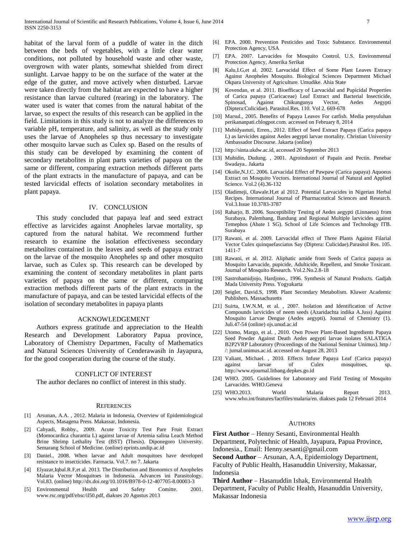habitat of the larval form of a puddle of water in the ditch between the beds of vegetables, with a little clear water conditions, not polluted by household waste and other waste, overgrown with water plants, somewhat shielded from direct sunlight. Larvae happy to be on the surface of the water at the edge of the gutter, and move actively when disturbed. Larvae were taken directly from the habitat are expected to have a higher resistance than larvae cultured (rearing) in the laboratory. The water used is water that comes from the natural habitat of the larvae, so expect the results of this research can be applied in the field. Limitations in this study is not to analyze the differences to variable pH, temperature, and salinity, as well as the study only uses the larvae of Anopheles sp thus necessary to investigate other mosquito larvae such as Culex sp. Based on the results of this study can be developed by examining the content of secondary metabolites in plant parts varieties of papaya on the same or different, comparing extraction methods different parts of the plant extracts in the manufacture of papaya, and can be tested larvicidal effects of isolation secondary metabolites in plant papaya.

#### IV. CONCLUSION

 This study concluded that papaya leaf and seed extract effective as larvicides against Anopheles larvae mortality, sp captured from the natural habitat. We recommend further research to examine the isolation effectiveness secondary metabolites contained in the leaves and seeds of papaya extract on the larvae of the mosquito Anopheles sp and other mosquito larvae, such as Culex sp. This research can be developed by examining the content of secondary metabolites in plant parts varieties of papaya on the same or different, comparing extraction methods different parts of the plant extracts in the manufacture of papaya, and can be tested larvicidal effects of the isolation of secondary metabolites in papaya plants

## ACKNOWLEDGEMENT

 Authors express gratitude and appreciation to the Health Research and Development Laboratory Papua province, Laboratory of Chemistry Departmen, Faculty of Mathematics and Natural Sciences University of Cenderawasih in Jayapura, for the good cooperation during the course of the study.

## CONFLICT OF INTEREST

The author declares no conflict of interest in this study.

#### **REFERENCES**

- [1] Arsunan, A.A. , 2012. Malaria in Indonesia, Overview of Epidemiological Aspects, Masagena Press. Makassar, Indonesia.
- [2] Cahyadi, Robby., 2009. Acute Toxicity Test Pare Fruit Extract (Momocardica charantia L) against larvae of Artemia salina Leach Method Brine Shrimp Lethality Test (BST) (Thesis). Diponegoro University. Semarang School of Medicine. (online) eprints.undip.ac.id
- [3] Daniel., 2008. When larvae and Adult mosquitoes have developed resistance to insecticides. Farmacia. Vol.7. no 7. Jakarta
- [4] Elyazar,Iqbal.R.F,et al. 2013. The Distribution and Bionomics of Anopheles Malaria Vector Mosquitoes in Indonesia. Advances ini Parasitology. Vol.83. (online) http://dx.doi.org/10.1016/B978-0-12-407705-8.00003-3
- [5] Environmental Health and Safety Comitte. 2001. www.rsc.org/pdf/ehsc/il50.pdf, diakses 20 Agustus 2013
- [6] EPA. 2000. Prevention Pesticides and Toxic Substance. Environmental Protection Agency, USA
- [7] EPA. 2007. Larvacides for Mosquito Control. U.S. Environmental Protection Agency, Amerika Serikat
- [8] Kalu,I.G,et al. 2002. Larvacidal Effect of Some Plant Leaves Extracy Against Anopheles Mosquito. Biological Sciences Department Michael Okpara University of Agriculture. Umudike. Ahia State
- [9] Kovendan, et al. 2011. Bioefficacy of Larvacidal and Pupicidal Properties of Carica papaya (Caricaceae) Leaf Extract and Bacterial Insecticide, Spinosad, Against Chikungunya Vector, Aedes Aegypti (Diptera:Culicidae). Parasitol.Res. 110. Vol 2. 669-678
- [10] Marsul., 2005. Benefits of Papaya Leaves For catfish. Media penyuluhan perikananpati.cblogpot.com. accessed on February 8, 2014
- [11] Mehidyastuti, Erren., 2012. Effect of Seed Extract Papaya (Carica papaya L) as larvicides against Aedes aegypti larvae mortality. Christian University Ambassador Discourse. Jakarta (online)
- [12] http://sinta.ukdw.ac.id, accessed 20 September 2013
- [13] Muhidin, Dudung. , 2001. Agroindustri of Papain and Pectin. Penebar Swadaya.. Jakarta
- [14] Okolie,N.J.C. 2006. Larvacidal Effect of Pawpaw (Carica papaya) Aquoeus Extract on Mosquito Vectors. International Journal of Natural and Applied Science. Vol.2 (4).36-132
- [15] Oladimeji, Olawale.H,et al 2012. Potential Larvacides in Nigerian Herbal Recipes. International Journal of Pharmaceutical Sciences and Research. Vol.3.Issue 10.3783-3787
- [16] Raharjo, B. 2006. Susceptibility Testing of Aedes aegypti (Linnaeus) from Surabaya, Palembang, Bandung and Regional Multiple larvicides against Temephos (Abate 1 SG). School of Life Sciences and Technology ITB. Surabaya
- [17] Rawani, et al. 2009. Larvacidal effect of Three Plants Against Filarial Vector Culex quinquefasciatus Say (Diptera: Culicidae).Parasitol Res. 105. 1411-7
- [18] Rawani, et al. 2012. Aliphatic amide from Seeds of Carica papaya as Mosquito Larvacide, pupicide, Adulticide, Repellent, and Smoke Toxicant. Journal of Mosquito Research. Vol.2.No.2.8-18
- [19] Sastrohamidjojo, Hardjono., 1996. Synthesis of Natural Products. Gadjah Mada University Press. Yogyakarta
- [20] Seigler, David.S, 1998. Plant Secondary Metabolism. Kluwer Academic Publishers. Massachusetts
- [21] Suirta, I.W.N.M, et al. , 2007. Isolation and Identification of Active Compounds larvicides of neem seeds (Azaridachta indika A.Juss) Against Mosquito Larvae Dengue (Aedes aegypti). Journal of Chemistry (1). Juli.47-54 (online) ojs.unud.ac.id
- [22] Utomo, Margo, et al. , 2010. Own Power Plant-Based Ingredients Papaya Seed Powder Against Death Aedes aegypti larvae isolates SALATIGA B2P2VRP Laboratory (Proceedings of the National Seminar Unimus). http / /: jurnal.unimus.ac.id. accessed on August 28, 2013
- [23] Valiant, Michael. , 2010. Effects Infuse Papaya Leaf (Carica papaya) against larvae of Culex mosquitoes, sp. http://www.ejournal.litbang.depkes.go.id
- [24] WHO. 2005. Guidelines for Laboratory and Field Testing of Mosquito Larvacides. WHO.Geneva
- [25] WHO.2013. World Malaria Report 2013. www.who.int/features/factfiles/malaria/en. diakses pada 12 Februari 2014

#### AUTHORS

**First Author** – Henny Sesanti, Environmental Health Department, Polytechnic of Health, Jayapura, Papua Province,

Indonesia., Email: Henny.sesanti@gmail.com

**Second Author** – Arsunan, A.A, Epidemiology Department, Faculty of Public Health, Hasanuddin University, Makassar, Indonesia

**Third Author** – Hasanuddin Ishak, Environmental Health Department, Faculty of Public Health, Hasanuddin University, Makassar Indonesia